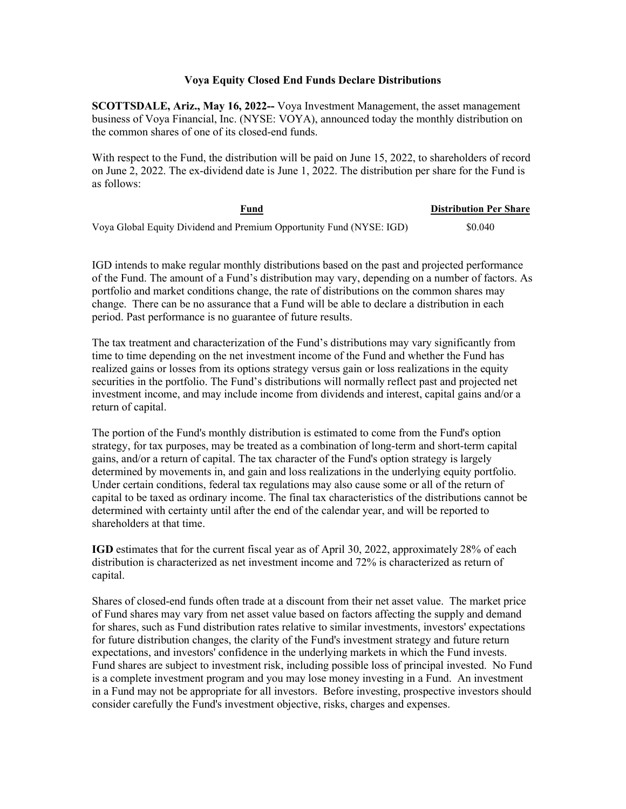## **Voya Equity Closed End Funds Declare Distributions**

**SCOTTSDALE, Ariz., May 16, 2022--** Voya Investment Management, the asset management business of Voya Financial, Inc. (NYSE: VOYA), announced today the monthly distribution on the common shares of one of its closed-end funds.

With respect to the Fund, the distribution will be paid on June 15, 2022, to shareholders of record on June 2, 2022. The ex-dividend date is June 1, 2022. The distribution per share for the Fund is as follows:

| Fund                                                                 | <b>Distribution Per Share</b> |
|----------------------------------------------------------------------|-------------------------------|
| Voya Global Equity Dividend and Premium Opportunity Fund (NYSE: IGD) | \$0.040                       |

IGD intends to make regular monthly distributions based on the past and projected performance of the Fund. The amount of a Fund's distribution may vary, depending on a number of factors. As portfolio and market conditions change, the rate of distributions on the common shares may change. There can be no assurance that a Fund will be able to declare a distribution in each period. Past performance is no guarantee of future results.

The tax treatment and characterization of the Fund's distributions may vary significantly from time to time depending on the net investment income of the Fund and whether the Fund has realized gains or losses from its options strategy versus gain or loss realizations in the equity securities in the portfolio. The Fund's distributions will normally reflect past and projected net investment income, and may include income from dividends and interest, capital gains and/or a return of capital.

The portion of the Fund's monthly distribution is estimated to come from the Fund's option strategy, for tax purposes, may be treated as a combination of long-term and short-term capital gains, and/or a return of capital. The tax character of the Fund's option strategy is largely determined by movements in, and gain and loss realizations in the underlying equity portfolio. Under certain conditions, federal tax regulations may also cause some or all of the return of capital to be taxed as ordinary income. The final tax characteristics of the distributions cannot be determined with certainty until after the end of the calendar year, and will be reported to shareholders at that time.

**IGD** estimates that for the current fiscal year as of April 30, 2022, approximately 28% of each distribution is characterized as net investment income and 72% is characterized as return of capital.

Shares of closed-end funds often trade at a discount from their net asset value. The market price of Fund shares may vary from net asset value based on factors affecting the supply and demand for shares, such as Fund distribution rates relative to similar investments, investors' expectations for future distribution changes, the clarity of the Fund's investment strategy and future return expectations, and investors' confidence in the underlying markets in which the Fund invests. Fund shares are subject to investment risk, including possible loss of principal invested. No Fund is a complete investment program and you may lose money investing in a Fund. An investment in a Fund may not be appropriate for all investors. Before investing, prospective investors should consider carefully the Fund's investment objective, risks, charges and expenses.